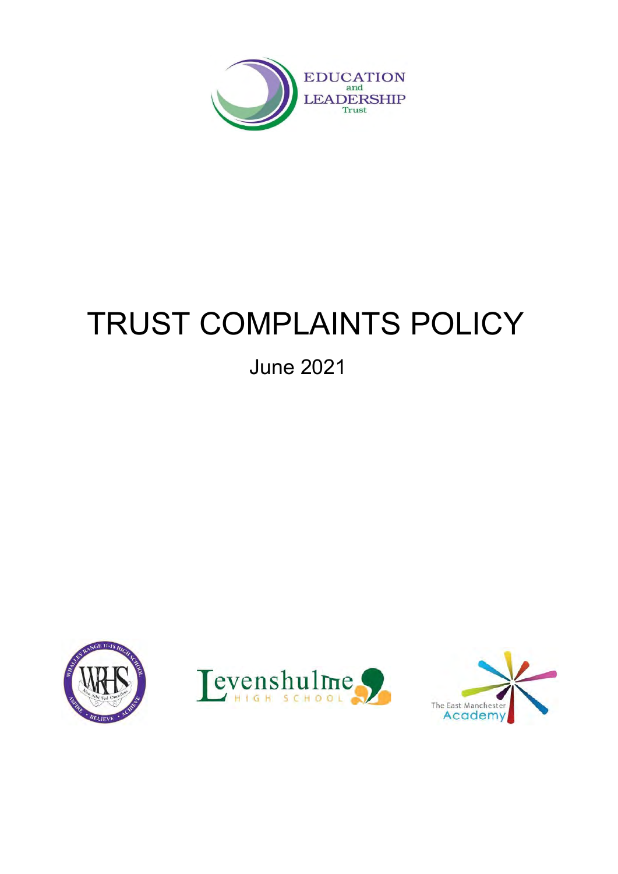

# TRUST COMPLAINTS POLICY

# June 2021

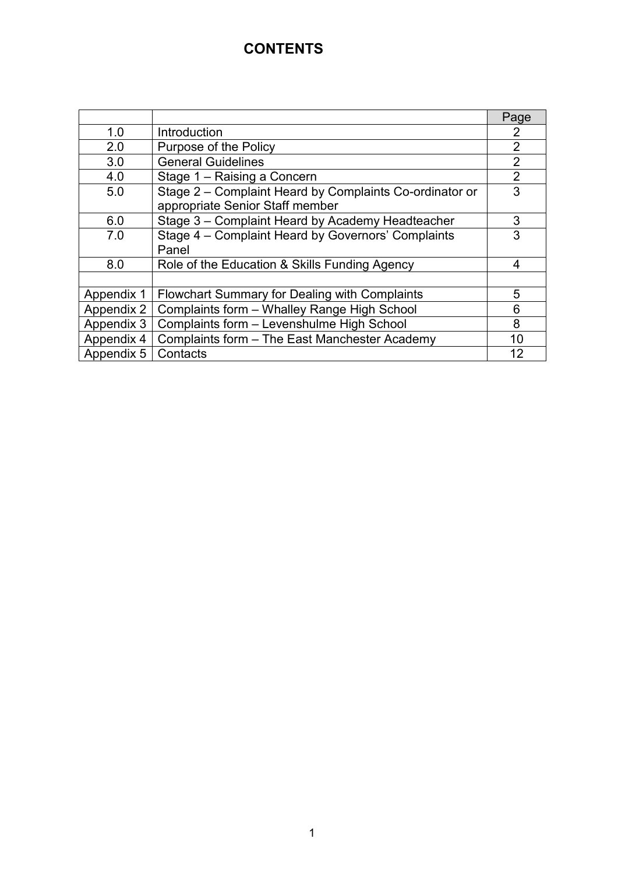# **CONTENTS**

|            |                                                         | Page           |
|------------|---------------------------------------------------------|----------------|
| 1.0        | Introduction                                            | 2              |
| 2.0        | Purpose of the Policy                                   | $\overline{2}$ |
| 3.0        | <b>General Guidelines</b>                               | $\overline{2}$ |
| 4.0        | Stage 1 - Raising a Concern                             | $\overline{2}$ |
| 5.0        | Stage 2 - Complaint Heard by Complaints Co-ordinator or | 3              |
|            | appropriate Senior Staff member                         |                |
| 6.0        | Stage 3 - Complaint Heard by Academy Headteacher        | 3              |
| 7.0        | Stage 4 - Complaint Heard by Governors' Complaints      | 3              |
|            | Panel                                                   |                |
| 8.0        | Role of the Education & Skills Funding Agency           | 4              |
|            |                                                         |                |
| Appendix 1 | <b>Flowchart Summary for Dealing with Complaints</b>    | 5              |
| Appendix 2 | Complaints form - Whalley Range High School             | 6              |
| Appendix 3 | Complaints form - Levenshulme High School               | 8              |
| Appendix 4 | Complaints form - The East Manchester Academy           | 10             |
| Appendix 5 | Contacts                                                | 12             |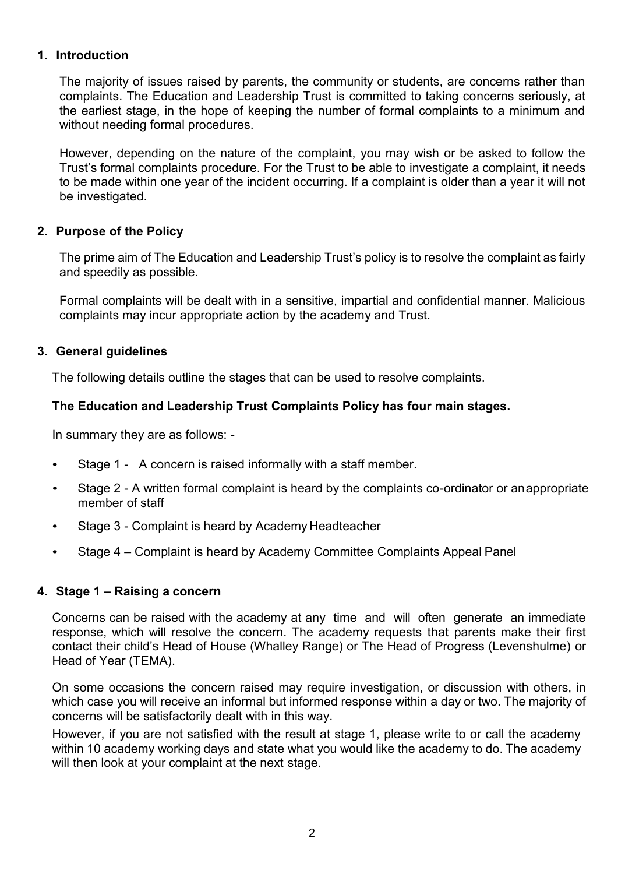# **1. Introduction**

The majority of issues raised by parents, the community or students, are concerns rather than complaints. The Education and Leadership Trust is committed to taking concerns seriously, at the earliest stage, in the hope of keeping the number of formal complaints to a minimum and without needing formal procedures.

However, depending on the nature of the complaint, you may wish or be asked to follow the Trust's formal complaints procedure. For the Trust to be able to investigate a complaint, it needs to be made within one year of the incident occurring. If a complaint is older than a year it will not be investigated.

# **2. Purpose of the Policy**

The prime aim of The Education and Leadership Trust's policy is to resolve the complaint as fairly and speedily as possible.

Formal complaints will be dealt with in a sensitive, impartial and confidential manner. Malicious complaints may incur appropriate action by the academy and Trust.

# **3. General guidelines**

The following details outline the stages that can be used to resolve complaints.

# **The Education and Leadership Trust Complaints Policy has four main stages.**

In summary they are as follows: -

- Stage 1 A concern is raised informally with a staff member.
- Stage 2 A written formal complaint is heard by the complaints co-ordinator or anappropriate member of staff
- Stage 3 Complaint is heard by Academy Headteacher
- Stage 4 Complaint is heard by Academy Committee Complaints Appeal Panel

# **4. Stage 1 – Raising a concern**

Concerns can be raised with the academy at any time and will often generate an immediate response, which will resolve the concern. The academy requests that parents make their first contact their child's Head of House (Whalley Range) or The Head of Progress (Levenshulme) or Head of Year (TEMA).

On some occasions the concern raised may require investigation, or discussion with others, in which case you will receive an informal but informed response within a day or two. The majority of concerns will be satisfactorily dealt with in this way.

However, if you are not satisfied with the result at stage 1, please write to or call the academy within 10 academy working days and state what you would like the academy to do. The academy will then look at your complaint at the next stage.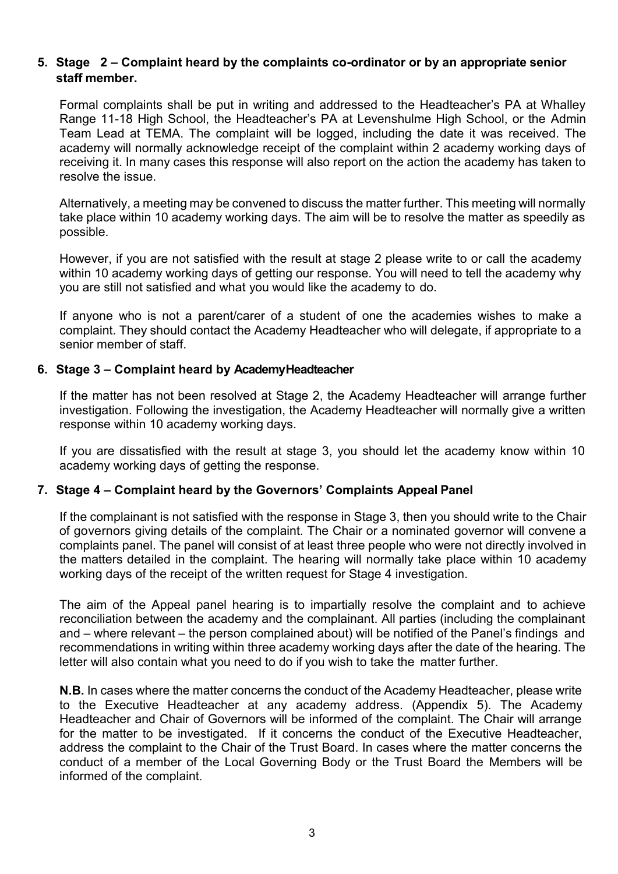# **5. Stage 2 – Complaint heard by the complaints co-ordinator or by an appropriate senior staff member.**

Formal complaints shall be put in writing and addressed to the Headteacher's PA at Whalley Range 11-18 High School, the Headteacher's PA at Levenshulme High School, or the Admin Team Lead at TEMA. The complaint will be logged, including the date it was received. The academy will normally acknowledge receipt of the complaint within 2 academy working days of receiving it. In many cases this response will also report on the action the academy has taken to resolve the issue.

Alternatively, a meeting may be convened to discuss the matter further. This meeting will normally take place within 10 academy working days. The aim will be to resolve the matter as speedily as possible.

However, if you are not satisfied with the result at stage 2 please write to or call the academy within 10 academy working days of getting our response. You will need to tell the academy why you are still not satisfied and what you would like the academy to do.

If anyone who is not a parent/carer of a student of one the academies wishes to make a complaint. They should contact the Academy Headteacher who will delegate, if appropriate to a senior member of staff.

# **6. Stage 3 – Complaint heard by AcademyHeadteacher**

If the matter has not been resolved at Stage 2, the Academy Headteacher will arrange further investigation. Following the investigation, the Academy Headteacher will normally give a written response within 10 academy working days.

If you are dissatisfied with the result at stage 3, you should let the academy know within 10 academy working days of getting the response.

# **7. Stage 4 – Complaint heard by the Governors' Complaints Appeal Panel**

If the complainant is not satisfied with the response in Stage 3, then you should write to the Chair of governors giving details of the complaint. The Chair or a nominated governor will convene a complaints panel. The panel will consist of at least three people who were not directly involved in the matters detailed in the complaint. The hearing will normally take place within 10 academy working days of the receipt of the written request for Stage 4 investigation.

The aim of the Appeal panel hearing is to impartially resolve the complaint and to achieve reconciliation between the academy and the complainant. All parties (including the complainant and – where relevant – the person complained about) will be notified of the Panel's findings and recommendations in writing within three academy working days after the date of the hearing. The letter will also contain what you need to do if you wish to take the matter further.

**N.B.** In cases where the matter concerns the conduct of the Academy Headteacher, please write to the Executive Headteacher at any academy address. (Appendix 5). The Academy Headteacher and Chair of Governors will be informed of the complaint. The Chair will arrange for the matter to be investigated. If it concerns the conduct of the Executive Headteacher, address the complaint to the Chair of the Trust Board. In cases where the matter concerns the conduct of a member of the Local Governing Body or the Trust Board the Members will be informed of the complaint.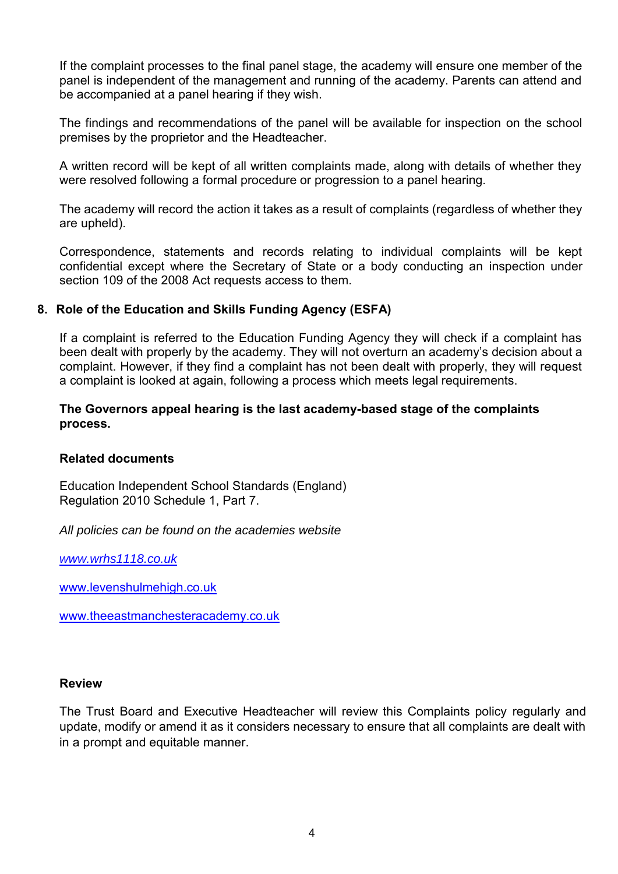If the complaint processes to the final panel stage, the academy will ensure one member of the panel is independent of the management and running of the academy. Parents can attend and be accompanied at a panel hearing if they wish.

The findings and recommendations of the panel will be available for inspection on the school premises by the proprietor and the Headteacher.

A written record will be kept of all written complaints made, along with details of whether they were resolved following a formal procedure or progression to a panel hearing.

The academy will record the action it takes as a result of complaints (regardless of whether they are upheld).

Correspondence, statements and records relating to individual complaints will be kept confidential except where the Secretary of State or a body conducting an inspection under section 109 of the 2008 Act requests access to them.

# **8. Role of the Education and Skills Funding Agency (ESFA)**

If a complaint is referred to the Education Funding Agency they will check if a complaint has been dealt with properly by the academy. They will not overturn an academy's decision about a complaint. However, if they find a complaint has not been dealt with properly, they will request a complaint is looked at again, following a process which meets legal requirements.

#### **The Governors appeal hearing is the last academy-based stage of the complaints process.**

#### **Related documents**

Education Independent School Standards (England) Regulation 2010 Schedule 1, Part 7.

*All policies can be found on the academies website* 

*[www.wrhs1118.co.uk](http://www.wrhs1118.co.uk/)*

[www.levenshulmehigh.co.uk](http://www.levenshulmehigh.co.uk/)

[www.theeastmanchesteracademy.co.uk](http://www.theeastmanchesteracademy.co.uk/)

#### **Review**

The Trust Board and Executive Headteacher will review this Complaints policy regularly and update, modify or amend it as it considers necessary to ensure that all complaints are dealt with in a prompt and equitable manner.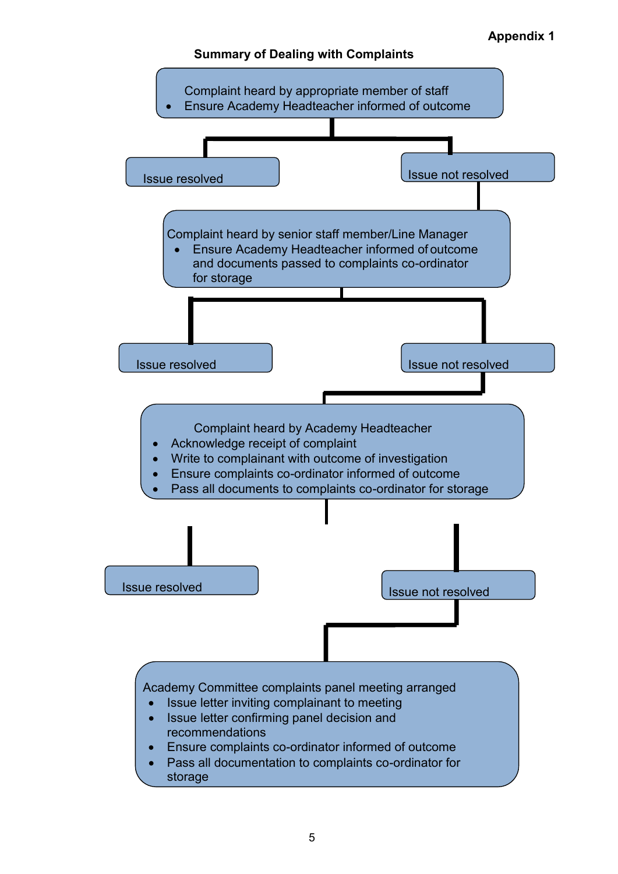**Appendix 1**

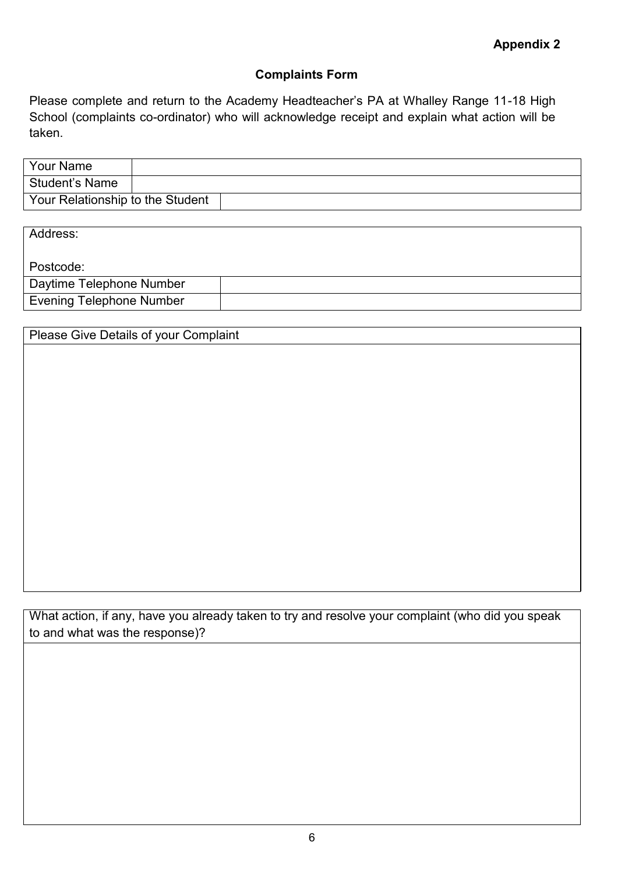# **Complaints Form**

Please complete and return to the Academy Headteacher's PA at Whalley Range 11-18 High School (complaints co-ordinator) who will acknowledge receipt and explain what action will be taken.

| Your Name                        |  |
|----------------------------------|--|
| l Student's Name                 |  |
| Your Relationship to the Student |  |

| Address:                        |  |
|---------------------------------|--|
| l Postcode:                     |  |
| Daytime Telephone Number        |  |
| <b>Evening Telephone Number</b> |  |

Please Give Details of your Complaint

What action, if any, have you already taken to try and resolve your complaint (who did you speak to and what was the response)?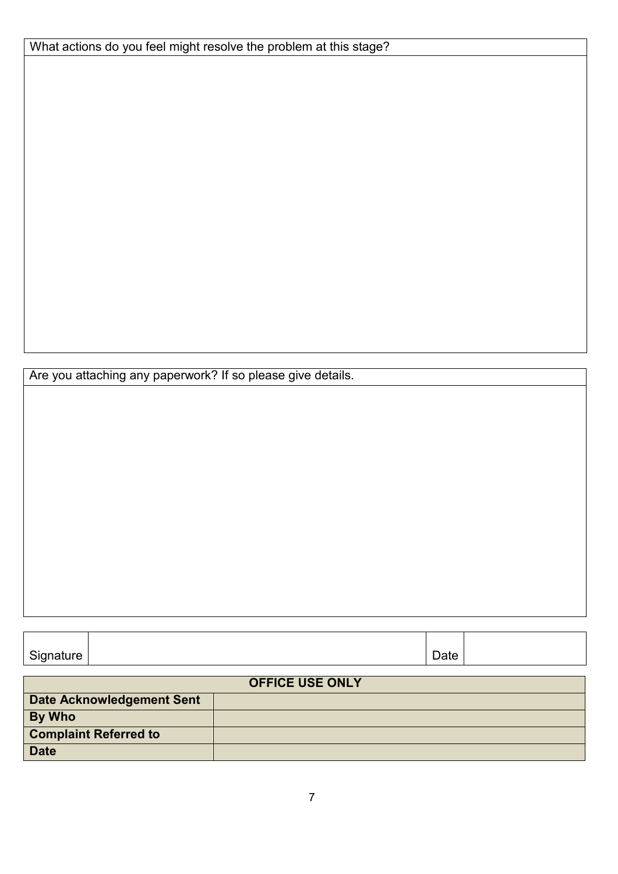| What actions do you feel might resolve the problem at this stage? |  |  |
|-------------------------------------------------------------------|--|--|
|-------------------------------------------------------------------|--|--|

Are you attaching any paperwork? If so please give details.

| Signature<br>ີ | $\overline{\phantom{0}}$<br>Date |  |
|----------------|----------------------------------|--|

|                                  | <b>OFFICE USE ONLY</b> |
|----------------------------------|------------------------|
| <b>Date Acknowledgement Sent</b> |                        |
| <b>By Who</b>                    |                        |
| <b>Complaint Referred to</b>     |                        |
| <b>Date</b>                      |                        |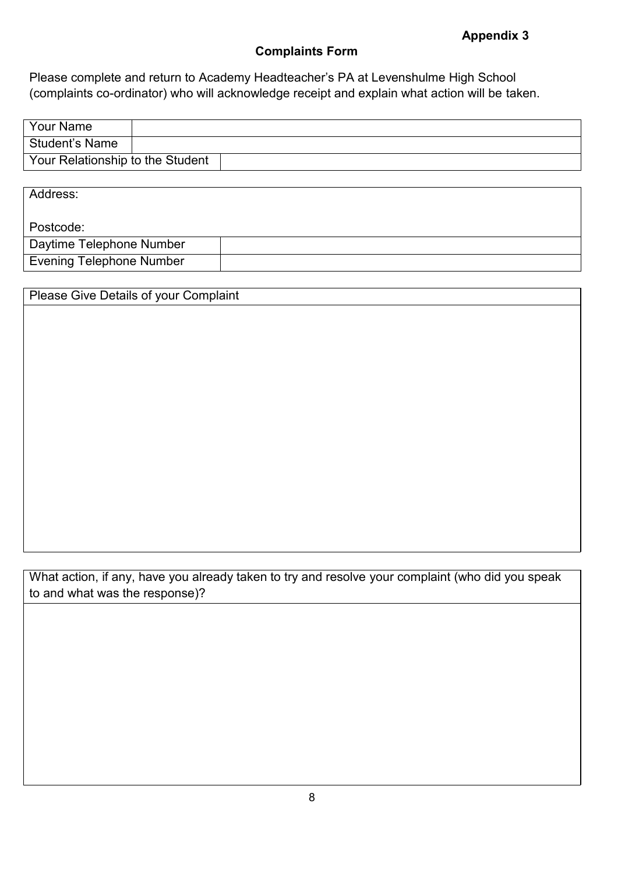# **Appendix 3**

# **Complaints Form**

Please complete and return to Academy Headteacher's PA at Levenshulme High School (complaints co-ordinator) who will acknowledge receipt and explain what action will be taken.

| <b>Your Name</b>                 |  |
|----------------------------------|--|
| Student's Name                   |  |
| Your Relationship to the Student |  |

Address:

Postcode:

| Daytime<br>Telephone Number |  |
|-----------------------------|--|
| Evening<br>Telephone Number |  |

# Please Give Details of your Complaint

What action, if any, have you already taken to try and resolve your complaint (who did you speak to and what was the response)?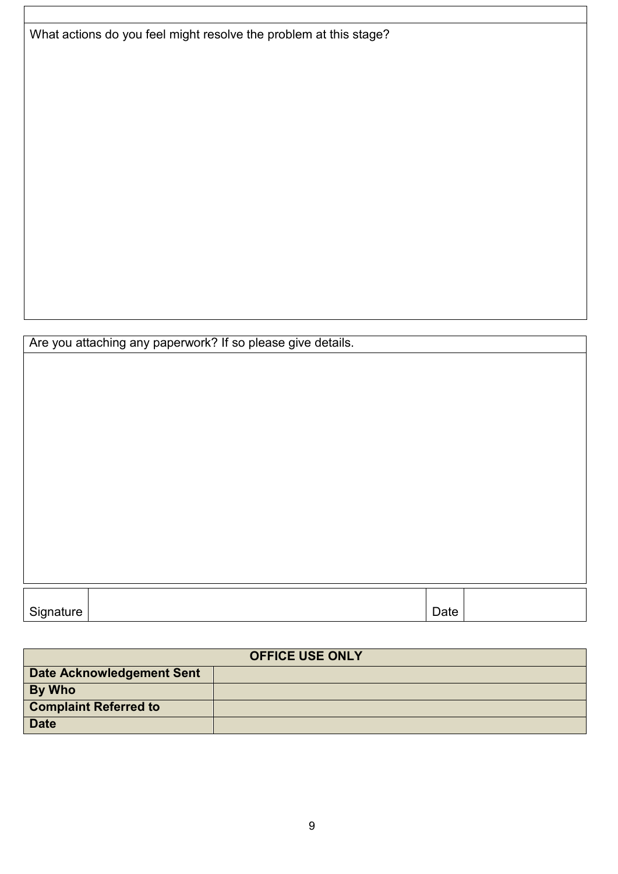What actions do you feel might resolve the problem at this stage?

Are you attaching any paperwork? If so please give details.

| Signature<br>ີ. | $\overline{\phantom{0}}$<br>Date |  |
|-----------------|----------------------------------|--|

|                              | <b>OFFICE USE ONLY</b> |
|------------------------------|------------------------|
| Date Acknowledgement Sent    |                        |
| <b>By Who</b>                |                        |
| <b>Complaint Referred to</b> |                        |
| <b>Date</b>                  |                        |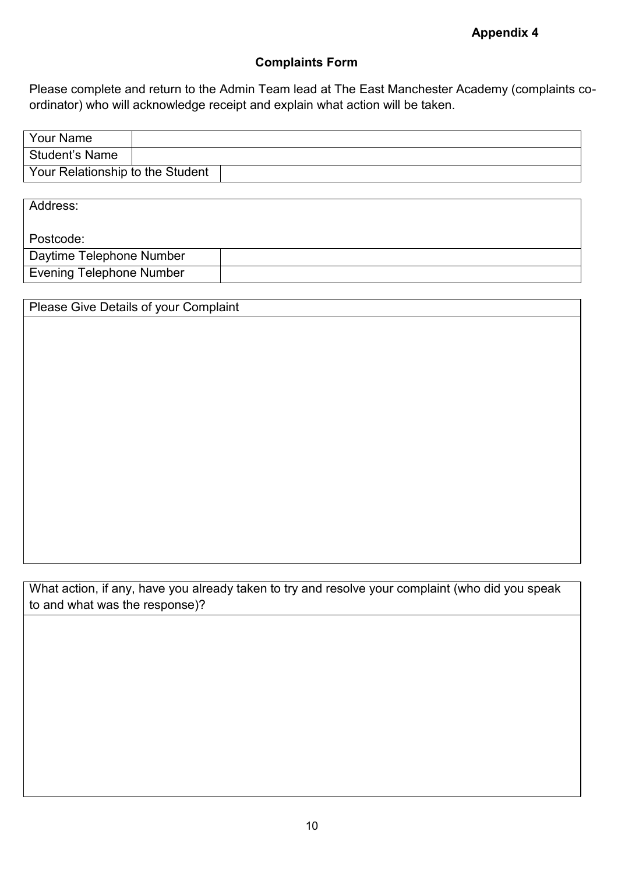**Appendix 4**

# **Complaints Form**

Please complete and return to the Admin Team lead at The East Manchester Academy (complaints coordinator) who will acknowledge receipt and explain what action will be taken.

| ' Your Name                      |  |
|----------------------------------|--|
| l Student's Name                 |  |
| Your Relationship to the Student |  |

Address: Postcode: Daytime Telephone Number Evening Telephone Number

| Please Give Details of your Complaint |  |  |
|---------------------------------------|--|--|
|                                       |  |  |
|                                       |  |  |
|                                       |  |  |
|                                       |  |  |
|                                       |  |  |
|                                       |  |  |
|                                       |  |  |
|                                       |  |  |
|                                       |  |  |
|                                       |  |  |

What action, if any, have you already taken to try and resolve your complaint (who did you speak to and what was the response)?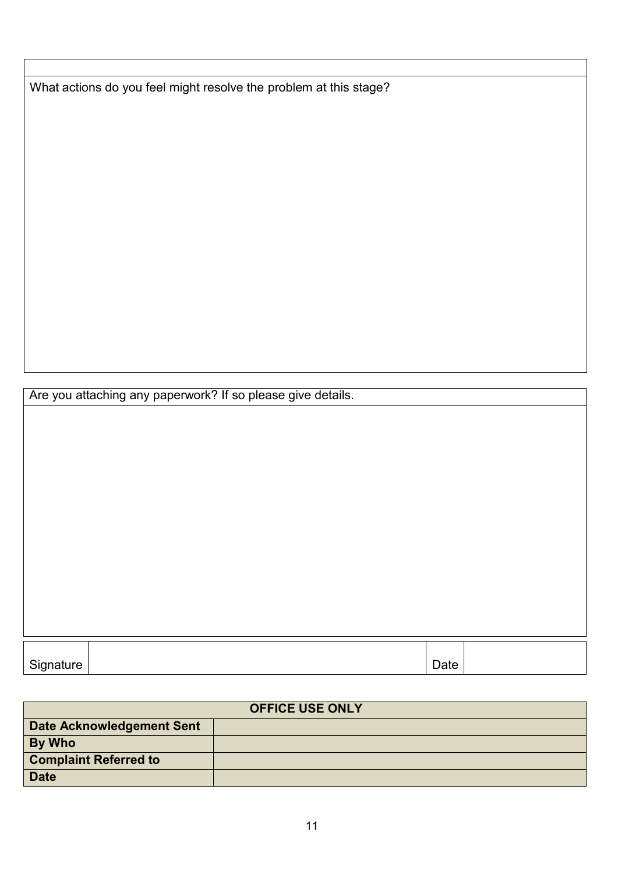What actions do you feel might resolve the problem at this stage?

Are you attaching any paperwork? If so please give details.

| $\sim$<br>$\cdot$ , and other $\cdot$ | ിച്ച <i>-</i> |  |
|---------------------------------------|---------------|--|
| sialure । ب                           | Dalo          |  |

| <b>OFFICE USE ONLY</b>           |  |  |  |  |
|----------------------------------|--|--|--|--|
| <b>Date Acknowledgement Sent</b> |  |  |  |  |
| By Who                           |  |  |  |  |
| <b>Complaint Referred to</b>     |  |  |  |  |
| <b>Date</b>                      |  |  |  |  |